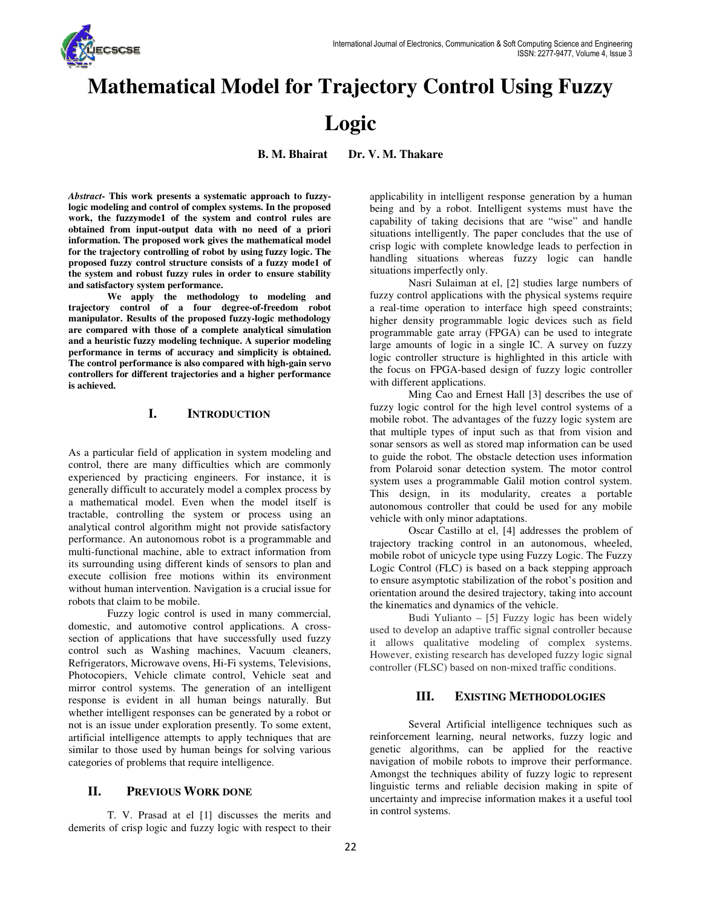

# **Mathematical Model for Trajectory Control Using Fuzzy**

# **Logic**

**B. M. Bhairat Dr. V. M. Thakare** 

Abstract- This work presents a systematic approach to fuzzylogic modeling and control of complex systems. In the proposed work, the fuzzymode1 of the system and control rules are obtained from input-output data with no need of a priori **work, the fuzzymode1 of the system and control rules are obtained from input-output data with no need of a information. The proposed work gives the mathematical model for the trajectory controlling of robot by using fuzzy logic. The proposed fuzzy control structure consists of a fuzzy mode1 of the system and robust fuzzy rules in order to ensure stability and satisfactory system performance.** 

 **We apply the methodology to modeling and trajectory control of a four degree-of-freedom robot manipulator. Results of the proposed fuzzy-logic methodology are compared with those of a complete analytical simulation and a heuristic fuzzy modeling technique. A superior m performance in terms of accuracy and simplicity is obtained. The control performance is also compared with high s simplicity high-gain servo controllers for different trajectories and a higher performance is achieved.**  rmation. The proposed work gives the mathematical model<br>the trajectory controlling of robot by using fuzzy logic. The<br>posed fuzzy control structure consists of a fuzzy mode1 of<br>system and robust fuzzy rules in order to ens

### **I. INTRODUCTION**

As a particular field of application in system modeling and control, there are many difficulties which are commonly experienced by practicing engineers. For instance, it is generally difficult to accurately model a complex process by a mathematical model. Even when the model itself is tractable, controlling the system or process using an analytical control algorithm might not provide satisfactory performance. An autonomous robot is a programmable and multi-functional machine, able to extract information fro its surrounding using different kinds of sensors to plan and execute collision free motions within its environment without human intervention. Navigation is a crucial issue for robots that claim to be mobile. experienced by practicing engineers. For instance, it is<br>generally difficult to accurately model a complex process by<br>a mathematical model. Even when the model itself is<br>tractable, controlling the system or process using a nding using different kinds of sensors to plan and<br>collision free motions within its environment<br>uman intervention. Navigation is a crucial issue for<br>t claim to be mobile.<br>Fuzzy logic control is used in many commercial,<br>an

Fuzzy logic control is used in many commercial, domestic, and automotive control applications. A cross section of applications that have successfully used fuzzy control such as Washing machines, Vacuum cleaners, control such as Washing machines, Vacuum cleaners, Refrigerators, Microwave ovens, Hi-Fi systems, Televisions, Photocopiers, Vehicle climate control, Vehicle seat and mirror control systems. The generation of an intelligent response is evident in all human beings naturally. But whether intelligent responses can be generated by a robot or not is an issue under exploration presently. To some extent, artificial intelligence attempts to apply techniques that are similar to those used by human beings for solving various categories of problems that require intelligence.

#### **II. PREVIOUS WORK DONE**

T. V. Prasad at el [1] discusses the merits and demerits of crisp logic and fuzzy logic with respect to their being and by a robot. Intelligent systems must have the capability of taking decisions that are "wise" and handle situations intelligently. The paper concludes that the use of crisp logic with complete knowledge leads to perfection in handling situations whereas fuzzy logic can handle situations imperfectly only. logic with complete knowledge leads to perfection in<br>ing situations whereas fuzzy logic can handle<br>ions imperfectly only.<br>Nasri Sulaiman at el, [2] studies large numbers of

Nasri Sulaiman at el, [2] studies large numbers of fuzzy control applications with the physical systems require a real-time operation to interface high speed constraints; higher density programmable logic devices such as field programmable gate array (FPGA) can be used to integrate large amounts of logic in a single IC. A survey on fuzzy logic controller structure is highlighted in this article with the focus on FPGA-based design of fuzzy logic controller with different applications.

This this point is evident in the state of the state of the state of the state of the state of the intelligent responses to the state of the state of the state of the state of the state of the state of the state of the st Ming Cao and Ernest Hall [3] describes the use of fuzzy logic control for the high level control systems of a mobile robot. The advantages of the fuzzy logic system are that multiple types of input such as that from vision and sonar sensors as well as stored map information can be used to guide the robot. The obstacle detection uses information from Polaroid sonar detection system. The motor control system uses a programmable Galil motion control system. This design, in its modularity, creates a portable autonomous controller that could be used for any mobile vehicle with only minor adaptations. fuzzy control applications with the physical systems require<br>a real-time operation to interface high speed constraints;<br>higher density programmable logic devices such as field<br>programmable gate array (FPGA) can be used to

Oscar Castillo at el, [4] addresses the problem of trajectory tracking control in an autonomous, wheeled, mobile robot of unicycle type using Fuzzy Logic. The Fuzzy Logic Control (FLC) is based on a back stepping approach to ensure asymptotic stabilization of the robot's p orientation around the desired trajectory, taking into account the kinematics and dynamics of the vehicle. in an autonomous, wheeled, of unicycle type using Fuzzy Logic. The Fuzzy I (FLC) is based on a back stepping approach mptotic stabilization of the robot's position and

Budi Yulianto – [5] Fuzzy logic has been widely orientation around the desired trajectory, taking into account<br>the kinematics and dynamics of the vehicle.<br>Budi Yulianto – [5] Fuzzy logic has been widely<br>used to develop an adaptive traffic signal controller because it allows qualitative modeling of complex systems. However, existing research has developed fuzzy logic signal controller (FLSC) based on non-mixed traffic conditions.

#### **III. EXISTING METHODOLOGIES**

r (FLSC) based on non-mixed traffic conditions.<br> **III.** EXISTING METHODOLOGIES<br>
Several Artificial intelligence techniques such as reinforcement learning, neural networks, fuzzy logic and genetic algorithms, can be applied for the reactive navigation of mobile robots to improve their performance. Amongst the techniques ability of fuzzy logic to represent linguistic terms and reliable decision making in spite of uncertainty and imprecise information makes it a useful tool in control systems. reinforcement<br>genetic algor<br>navigation of<br>Amongst the 1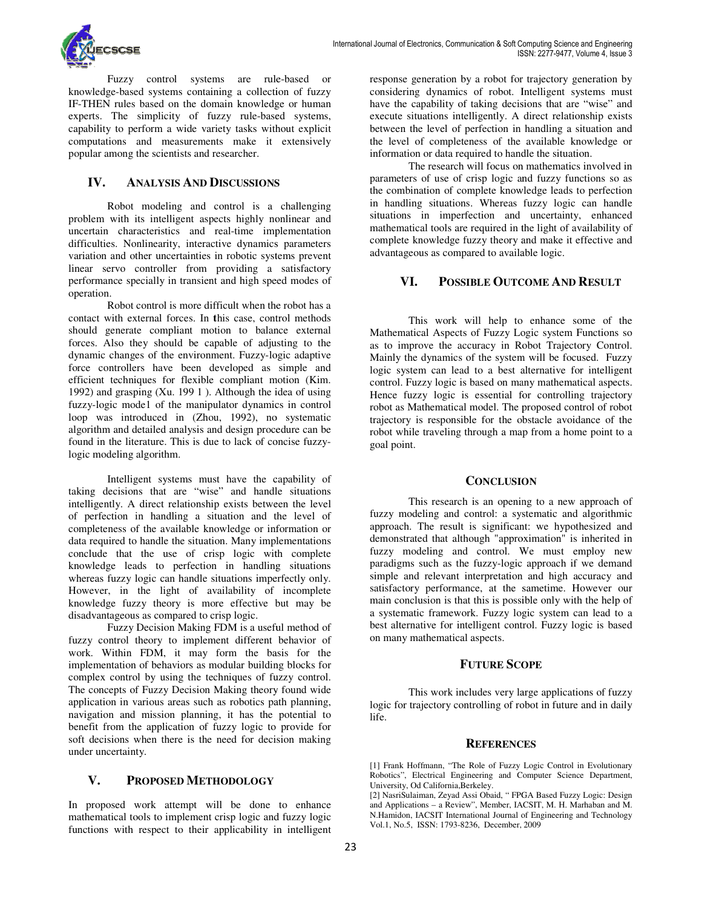

Fuzzy control systems are rule-based or knowledge-based systems containing a collection of fuzzy IF-THEN rules based on the domain knowledge or human experts. The simplicity of fuzzy rule-based systems, capability to perform a wide variety tasks without ex computations and measurements make it extensively popular among the scientists and researcher. based systems containing a collection of fuzzy<br>THEN rules based on the domain knowledge or human<br>perts. The simplicity of fuzzy rule-based systems,<br>pability to perform a wide variety tasks without explicit

### **IV. ANALYSIS AND DISCUSSIONS**

Robot modeling and control is a challenging problem with its intelligent aspects highly nonlinear and uncertain characteristics and real-time implementation difficulties. Nonlinearity, interactive dynamics parameters variation and other uncertainties in robotic systems prevent linear servo controller from providing a satisfactory performance specially in transient and high speed modes of operation. make it extensively<br>the scientists and researcher.<br> **ALYSIS AND DISCUSSIONS**<br>
modeling and control is a challenging<br>
simelligent aspects highly nonlinear and<br>
deteristics and real-time implementation<br>
linearity, interactiv

Robot control is more difficult when the robot has a contact with external forces. In **t**his case, control methods should generate compliant motion to balance external forces. Also they should be capable of adjusting to the dynamic changes of the environment. Fuzzy-logic adaptive force controllers have been developed as simple efficient techniques for flexible compliant motion (Kim. 1992) and grasping (Xu. 199 1 ). Although the idea of using fuzzy-logic mode1 of the manipulator dynamics in control loop was introduced in (Zhou, 1992), no systematic algorithm and detailed analysis and design procedure can be found in the literature. This is due to lack of concise fuzzy logic modeling algorithm. linear servo controller from providing a satisfactory<br>performance specially in transient and high speed modes of<br>operation.<br>Robot control is more difficult when the robot has a<br>contact with external forces. In this case, c ). Although the idea of using<br>ipulator dynamics in control<br>hou, 1992), no systematic<br>and design procedure can be<br>due to lack of concise fuzzy-

Intelligent systems must have the capability of taking decisions that are "wise" and handle situations intelligently. A direct relationship exists between the level of perfection in handling a situation and the level of completeness of the available knowledge or information or data required to handle the situation. Many implementations conclude that the use of crisp logic with complete knowledge leads to perfection in handling situations whereas fuzzy logic can handle situations imperfectly only. However, in the light of availability of incomplete knowledge fuzzy theory is more effective but may be disadvantageous as compared to crisp logic. Intelligent systems must have the capability of taking decisions that are "wise" and handle situations intelligently. A direct relationship exists between the level of perfection in handling a situation and the level of co

Fuzzy Decision Making FDM is a useful method of fuzzy control theory to implement different behavior of work. Within FDM, it may form the basis for the implementation of behaviors as modular building blocks for complex control by using the techniques of fuzzy control. The concepts of Fuzzy Decision Making theory found wide application in various areas such as robotics path planning, navigation and mission planning, it has the potential to benefit from the application of fuzzy logic to provide for soft decisions when there is the need for decision making under uncertainty.

#### **V. PROPOSED METHODOLOGY**

In proposed work attempt will be done to enhance mathematical tools to implement crisp logic and fuzzy logic functions with respect to their applicability in intelligent considering dynamics of robot. Intelligent systems must have the capability of taking decisions that are "wise" and execute situations intelligently. A direct relationship exists between the level of perfection in handling a situation and the level of completeness of the available knowledge or information or data required to handle the situation. generation by a robot for trajectory generation by<br>ing dynamics of robot. Intelligent systems must<br>capability of taking decisions that are "wise" and<br>situations intelligently. A direct relationship exists<br>the level of perf

The research will focus on mathematics involved in parameters of use of crisp logic and fuzzy functions so as the combination of complete knowledge leads to perfection in handling situations. Whereas fuzzy logic can handle situations in imperfection and uncertainty, enhanced mathematical tools are required in the light of availability of complete knowledge fuzzy theory and make it effective and advantageous as compared to available logic. information or data required to handle the situati<br>The research will focus on mathematics<br>parameters of use of crisp logic and fuzzy fun<br>the combination of complete knowledge leads t<br>in handling situations. Whereas fuzzy l

## **VI. POSSIBLE OUTCOME AND RESULT**

This work will help to enhance some of the Mathematical Aspects of Fuzzy Logic system Functions so as to improve the accuracy in Robot Trajectory Control. Mainly the dynamics of the system will be focused. Fuzzy logic system can lead to a best alternative for intelligent control. Fuzzy logic is based on many mathematical aspects. Hence fuzzy logic is essential for controlling trajectory robot as Mathematical model. The proposed control of robot trajectory is responsible for the obstacle avoidance of the robot while traveling through a map from a home point to a goal point. Mathematical Aspects of Fuzzy Logic system Functions so<br>as to improve the accuracy in Robot Trajectory Control.<br>Mainly the dynamics of the system will be focused. Fuzzy m can lead to a best alternative for intelligent<br>tizy logic is based on many mathematical aspects.<br>Ey logic is essential for controlling trajectory<br>athematical model. The proposed control of robot<br>s responsible for the obs

#### **CONCLUSION**

10. The trajection of the state of the state of making various by a robot by the state of the state of the state of the state of the state of the state of the state of the state of the state of the state of the state of This research is an opening to a new approach of fuzzy modeling and control: a systematic and algorithmic approach. The result is significant: we hypothesized and demonstrated that although "approximation" is inherited in demonstrated that although "approximation" is inherited in fuzzy modeling and control. We must employ new paradigms such as the fuzzy-logic approach if we demand paradigms such as the fuzzy-logic approach if we demand<br>simple and relevant interpretation and high accuracy and satisfactory performance, at the sametime. However our main conclusion is that this is possible only with the help of a systematic framework. Fuzzy logic system can lead to a main conclusion is that this is possible only with the help of<br>a systematic framework. Fuzzy logic system can lead to a<br>best alternative for intelligent control. Fuzzy logic is based on many mathematical aspects.

#### **FUTURE SCOPE**

This work includes very large applications of fuzzy logic for trajectory controlling of robot in future and in daily life.

#### **REFERENCES**

[1] Frank Hoffmann, "The Role of Fuzzy Logic Control in Evolutionary Robotics", Electrical Engineering and Computer Science Department, University, Od California,Berkeley.

[2] NasriSulaiman, Zeyad Assi Obaid, " FPGA Based Fuzzy Logic: Design and Applications – a Review", Member, IACSIT, M. H. Marhaban and M. N.Hamidon, IACSIT International Journal of Engineering and Technology Vol.1, No.5, ISSN: 1793-8236, December, 2009 [1] Frank Hoffmann, "The Role of Fuzzy Logic Control<br>Robotics", Electrical Engineering and Computer Scien<br>University, Od California,Berkeley.<br>[2] NasriSulaiman, Zeyad Assi Obaid, "FPGA Based Fuzz<br>and Applications – a Revie